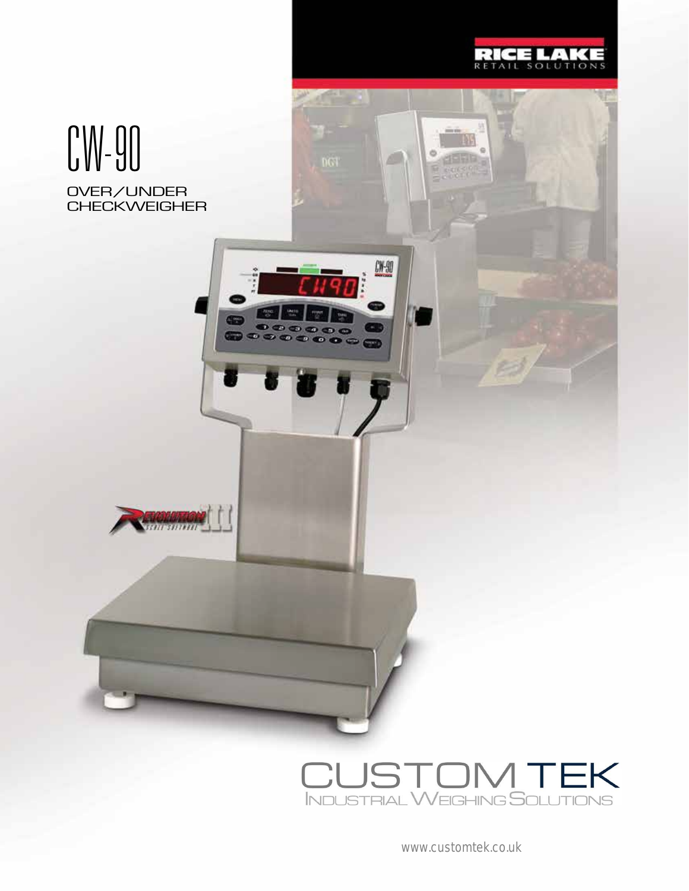

ø

ö

A.

 $0.90$ 

era.

 $\bullet$ -71

 $\bullet$ 

 $x = 0$ 

## OVER/UNDER **CHECKWEIGHER** CW-90

**New York Control** 



www.customtek.co.uk